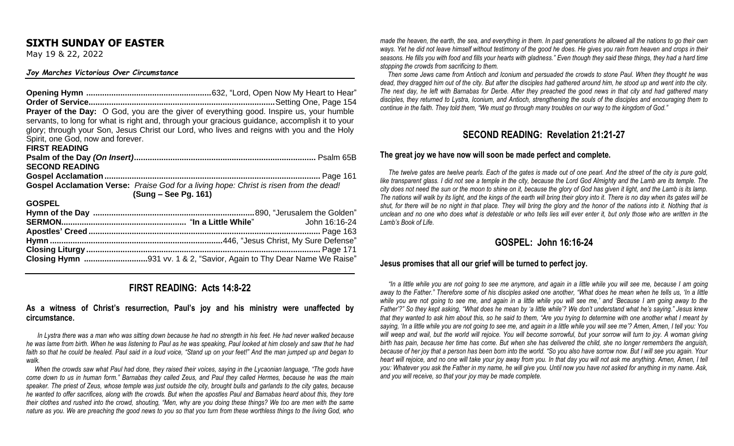## **SIXTH SUNDAY OF EASTER**

May 19 & 22, 2022

#### *Joy Marches Victorious Over Circumstance*

| Prayer of the Day: O God, you are the giver of everything good. Inspire us, your humble<br>servants, to long for what is right and, through your gracious guidance, accomplish it to your<br>glory; through your Son, Jesus Christ our Lord, who lives and reigns with you and the Holy<br>Spirit, one God, now and forever. |
|------------------------------------------------------------------------------------------------------------------------------------------------------------------------------------------------------------------------------------------------------------------------------------------------------------------------------|
| <b>FIRST READING</b>                                                                                                                                                                                                                                                                                                         |
|                                                                                                                                                                                                                                                                                                                              |
| <b>SECOND READING</b>                                                                                                                                                                                                                                                                                                        |
|                                                                                                                                                                                                                                                                                                                              |
| <b>Gospel Acclamation Verse:</b> Praise God for a living hope: Christ is risen from the dead!                                                                                                                                                                                                                                |
| (Sung – See Pg. 161)                                                                                                                                                                                                                                                                                                         |
| <b>GOSPEL</b>                                                                                                                                                                                                                                                                                                                |
|                                                                                                                                                                                                                                                                                                                              |
|                                                                                                                                                                                                                                                                                                                              |
|                                                                                                                                                                                                                                                                                                                              |
|                                                                                                                                                                                                                                                                                                                              |
|                                                                                                                                                                                                                                                                                                                              |
|                                                                                                                                                                                                                                                                                                                              |

## **FIRST READING: Acts 14:8-22**

#### **As a witness of Christ's resurrection, Paul's joy and his ministry were unaffected by circumstance.**

In Lystra there was a man who was sitting down because he had no strength in his feet. He had never walked because *he was lame from birth. When he was listening to Paul as he was speaking, Paul looked at him closely and saw that he had faith so that he could be healed. Paul said in a loud voice, "Stand up on your feet!" And the man jumped up and began to walk.* 

 *When the crowds saw what Paul had done, they raised their voices, saying in the Lycaonian language, "The gods have come down to us in human form." Barnabas they called Zeus, and Paul they called Hermes, because he was the main speaker. The priest of Zeus, whose temple was just outside the city, brought bulls and garlands to the city gates, because he wanted to offer sacrifices, along with the crowds. But when the apostles Paul and Barnabas heard about this, they tore their clothes and rushed into the crowd, shouting, "Men, why are you doing these things? We too are men with the same nature as you. We are preaching the good news to you so that you turn from these worthless things to the living God, who*  *made the heaven, the earth, the sea, and everything in them. In past generations he allowed all the nations to go their own ways. Yet he did not leave himself without testimony of the good he does. He gives you rain from heaven and crops in their seasons. He fills you with food and fills your hearts with gladness." Even though they said these things, they had a hard time stopping the crowds from sacrificing to them.* 

 *Then some Jews came from Antioch and Iconium and persuaded the crowds to stone Paul. When they thought he was dead, they dragged him out of the city. But after the disciples had gathered around him, he stood up and went into the city. The next day, he left with Barnabas for Derbe. After they preached the good news in that city and had gathered many disciples, they returned to Lystra, Iconium, and Antioch, strengthening the souls of the disciples and encouraging them to continue in the faith. They told them, "We must go through many troubles on our way to the kingdom of God."* 

# **SECOND READING: Revelation 21:21-27**

#### **The great joy we have now will soon be made perfect and complete.**

 *The twelve gates are twelve pearls. Each of the gates is made out of one pearl. And the street of the city is pure gold, like transparent glass. I did not see a temple in the city, because the Lord God Almighty and the Lamb are its temple. The city does not need the sun or the moon to shine on it, because the glory of God has given it light, and the Lamb is its lamp. The nations will walk by its light, and the kings of the earth will bring their glory into it. There is no day when its gates will be shut, for there will be no night in that place. They will bring the glory and the honor of the nations into it. Nothing that is unclean and no one who does what is detestable or who tells lies will ever enter it, but only those who are written in the Lamb's Book of Life.* 

## **GOSPEL: John 16:16-24**

#### **Jesus promises that all our grief will be turned to perfect joy.**

<sup>*a*</sup>In a little while you are not going to see me anymore, and again in a little while you will see me, because I am going *away to the Father." Therefore some of his disciples asked one another, "What does he mean when he tells us, 'In a little while you are not going to see me, and again in a little while you will see me,' and 'Because I am going away to the Father'?" So they kept asking, "What does he mean by 'a little while'? We don't understand what he's saying." Jesus knew that they wanted to ask him about this, so he said to them, "Are you trying to determine with one another what I meant by saying, 'In a little while you are not going to see me, and again in a little while you will see me'? Amen, Amen, I tell you: You will weep and wail, but the world will rejoice. You will become sorrowful, but your sorrow will turn to joy. A woman giving birth has pain, because her time has come. But when she has delivered the child, she no longer remembers the anguish, because of her joy that a person has been born into the world. "So you also have sorrow now. But I will see you again. Your heart will rejoice, and no one will take your joy away from you. In that day you will not ask me anything. Amen, Amen, I tell you: Whatever you ask the Father in my name, he will give you. Until now you have not asked for anything in my name. Ask, and you will receive, so that your joy may be made complete.*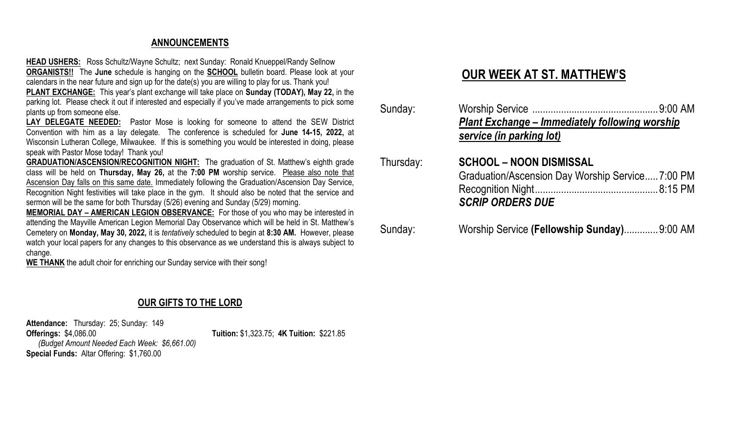# **ANNOUNCEMENTS**

**HEAD USHERS:** Ross Schultz/Wayne Schultz; next Sunday: Ronald Knueppel/Randy Sellnow **ORGANISTS!!** The **June** schedule is hanging on the **SCHOOL** bulletin board. Please look at your calendars in the near future and sign up for the date(s) you are willing to play for us. Thank you!

**PLANT EXCHANGE:** This year's plant exchange will take place on **Sunday (TODAY), May 22,** in the parking lot. Please check it out if interested and especially if you've made arrangements to pick some plants up from someone else.

**LAY DELEGATE NEEDED:** Pastor Mose is looking for someone to attend the SEW District Convention with him as a lay delegate. The conference is scheduled for **June 14-15, 2022,** at Wisconsin Lutheran College, Milwaukee. If this is something you would be interested in doing, please speak with Pastor Mose today! Thank you!

**GRADUATION/ASCENSION/RECOGNITION NIGHT:** The graduation of St. Matthew's eighth grade class will be held on **Thursday, May 26,** at the **7:00 PM** worship service. Please also note that Ascension Day falls on this same date. Immediately following the Graduation/Ascension Day Service, Recognition Night festivities will take place in the gym. It should also be noted that the service and sermon will be the same for both Thursday (5/26) evening and Sunday (5/29) morning.

**MEMORIAL DAY – AMERICAN LEGION OBSERVANCE:** For those of you who may be interested in attending the Mayville American Legion Memorial Day Observance which will be held in St. Matthew's Cemetery on **Monday, May 30, 2022,** it is *tentatively* scheduled to begin at **8:30 AM.** However, please watch your local papers for any changes to this observance as we understand this is always subject to change.

**WE THANK** the adult choir for enriching our Sunday service with their song!

# **OUR GIFTS TO THE LORD**

**Attendance:** Thursday: 25; Sunday: 149 **Offerings:** \$4,086.00 **Tuition:** \$1,323.75; **4K Tuition:** \$221.85  *(Budget Amount Needed Each Week: \$6,661.00)* **Special Funds:** Altar Offering: \$1,760.00

# **OUR WEEK AT ST. MATTHEW'S**

| Sunday:   | <b>Plant Exchange - Immediately following worship</b><br>service (in parking lot)                            |
|-----------|--------------------------------------------------------------------------------------------------------------|
| Thursday: | <b>SCHOOL – NOON DISMISSAL</b><br>Graduation/Ascension Day Worship Service7:00 PM<br><b>SCRIP ORDERS DUE</b> |
| Sunday:   | Worship Service (Fellowship Sunday) 9:00 AM                                                                  |